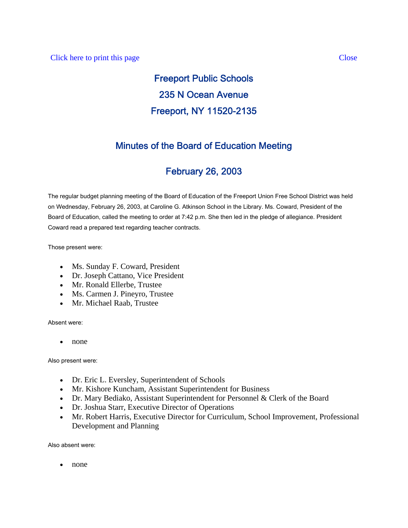# Freeport Public Schools 235 N Ocean Avenue Freeport, NY 11520-2135

# Minutes of the Board of Education Meeting

# February 26, 2003

The regular budget planning meeting of the Board of Education of the Freeport Union Free School District was held on Wednesday, February 26, 2003, at Caroline G. Atkinson School in the Library. Ms. Coward, President of the Board of Education, called the meeting to order at 7:42 p.m. She then led in the pledge of allegiance. President Coward read a prepared text regarding teacher contracts.

Those present were:

- Ms. Sunday F. Coward, President
- Dr. Joseph Cattano, Vice President
- Mr. Ronald Ellerbe, Trustee
- Ms. Carmen J. Pineyro, Trustee
- Mr. Michael Raab, Trustee

Absent were:

• none

Also present were:

- Dr. Eric L. Eversley, Superintendent of Schools
- Mr. Kishore Kuncham, Assistant Superintendent for Business
- Dr. Mary Bediako, Assistant Superintendent for Personnel & Clerk of the Board
- Dr. Joshua Starr, Executive Director of Operations
- Mr. Robert Harris, Executive Director for Curriculum, School Improvement, Professional Development and Planning

Also absent were:

• none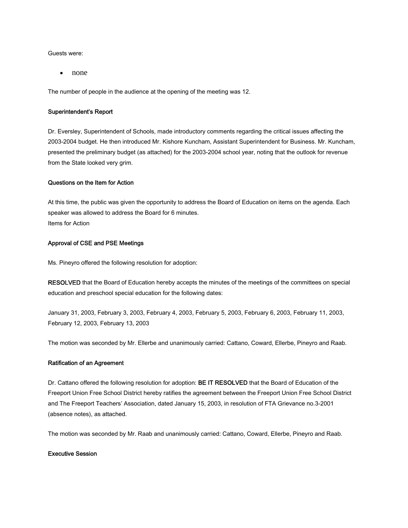Guests were:

• none

The number of people in the audience at the opening of the meeting was 12.

#### Superintendent's Report

Dr. Eversley, Superintendent of Schools, made introductory comments regarding the critical issues affecting the 2003-2004 budget. He then introduced Mr. Kishore Kuncham, Assistant Superintendent for Business. Mr. Kuncham, presented the preliminary budget (as attached) for the 2003-2004 school year, noting that the outlook for revenue from the State looked very grim.

### Questions on the Item for Action

At this time, the public was given the opportunity to address the Board of Education on items on the agenda. Each speaker was allowed to address the Board for 6 minutes. Items for Action

## Approval of CSE and PSE Meetings

Ms. Pineyro offered the following resolution for adoption:

RESOLVED that the Board of Education hereby accepts the minutes of the meetings of the committees on special education and preschool special education for the following dates:

January 31, 2003, February 3, 2003, February 4, 2003, February 5, 2003, February 6, 2003, February 11, 2003, February 12, 2003, February 13, 2003

The motion was seconded by Mr. Ellerbe and unanimously carried: Cattano, Coward, Ellerbe, Pineyro and Raab.

#### Ratification of an Agreement

Dr. Cattano offered the following resolution for adoption: BE IT RESOLVED that the Board of Education of the Freeport Union Free School District hereby ratifies the agreement between the Freeport Union Free School District and The Freeport Teachers' Association, dated January 15, 2003, in resolution of FTA Grievance no.3-2001 (absence notes), as attached.

The motion was seconded by Mr. Raab and unanimously carried: Cattano, Coward, Ellerbe, Pineyro and Raab.

## Executive Session